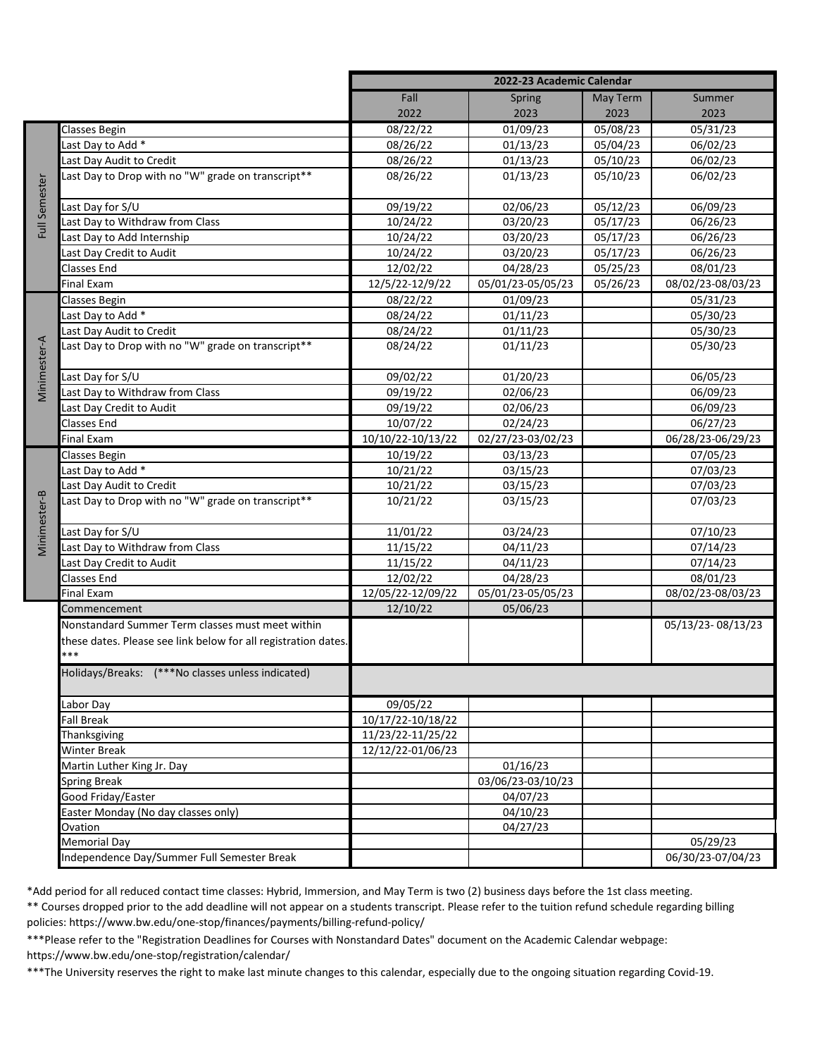|               |                                                                | 2022-23 Academic Calendar |                   |          |                   |
|---------------|----------------------------------------------------------------|---------------------------|-------------------|----------|-------------------|
|               |                                                                | Fall                      | Spring            | May Term | Summer            |
|               |                                                                | 2022                      | 2023              | 2023     | 2023              |
| Full Semester | <b>Classes Begin</b>                                           | 08/22/22                  | 01/09/23          | 05/08/23 | 05/31/23          |
|               | ast Day to Add *                                               | 08/26/22                  | 01/13/23          | 05/04/23 | 06/02/23          |
|               | Last Day Audit to Credit                                       | 08/26/22                  | 01/13/23          | 05/10/23 | 06/02/23          |
|               | Last Day to Drop with no "W" grade on transcript**             | 08/26/22                  | 01/13/23          | 05/10/23 | 06/02/23          |
|               |                                                                |                           |                   |          |                   |
|               | Last Day for S/U                                               | 09/19/22                  | 02/06/23          | 05/12/23 | 06/09/23          |
|               | Last Day to Withdraw from Class                                | 10/24/22                  | 03/20/23          | 05/17/23 | 06/26/23          |
|               | Last Day to Add Internship                                     | 10/24/22                  | 03/20/23          | 05/17/23 | 06/26/23          |
|               | Last Day Credit to Audit                                       | 10/24/22                  | 03/20/23          | 05/17/23 | 06/26/23          |
|               | <b>Classes End</b>                                             | 12/02/22                  | 04/28/23          | 05/25/23 | 08/01/23          |
|               | <b>Final Exam</b>                                              | 12/5/22-12/9/22           | 05/01/23-05/05/23 | 05/26/23 | 08/02/23-08/03/23 |
| Vinimester-A  | Classes Begin                                                  | 08/22/22                  | 01/09/23          |          | 05/31/23          |
|               | Last Day to Add <sup>*</sup>                                   | 08/24/22                  | 01/11/23          |          | 05/30/23          |
|               | Last Day Audit to Credit                                       | 08/24/22                  | 01/11/23          |          | 05/30/23          |
|               | Last Day to Drop with no "W" grade on transcript**             | 08/24/22                  | 01/11/23          |          | 05/30/23          |
|               |                                                                |                           |                   |          |                   |
|               | Last Day for S/U                                               | 09/02/22                  | 01/20/23          |          | 06/05/23          |
|               | Last Day to Withdraw from Class                                | 09/19/22                  | 02/06/23          |          | 06/09/23          |
|               | Last Day Credit to Audit                                       | 09/19/22                  | 02/06/23          |          | 06/09/23          |
|               | Classes End                                                    | 10/07/22                  | 02/24/23          |          | 06/27/23          |
|               | <b>Final Exam</b>                                              | 10/10/22-10/13/22         | 02/27/23-03/02/23 |          | 06/28/23-06/29/23 |
| Vinimester-B  | <b>Classes Begin</b>                                           | 10/19/22                  | 03/13/23          |          | 07/05/23          |
|               | Last Day to Add *                                              | 10/21/22                  | 03/15/23          |          | 07/03/23          |
|               | Last Day Audit to Credit                                       | 10/21/22                  | 03/15/23          |          | 07/03/23          |
|               | Last Day to Drop with no "W" grade on transcript**             | 10/21/22                  | 03/15/23          |          | 07/03/23          |
|               |                                                                |                           |                   |          |                   |
|               | Last Day for S/U                                               | 11/01/22                  | 03/24/23          |          | 07/10/23          |
|               | Last Day to Withdraw from Class                                | 11/15/22                  | 04/11/23          |          | 07/14/23          |
|               | Last Day Credit to Audit                                       | 11/15/22                  | 04/11/23          |          | 07/14/23          |
|               | <b>Classes End</b>                                             | 12/02/22                  | 04/28/23          |          | 08/01/23          |
|               | Final Exam                                                     | 12/05/22-12/09/22         | 05/01/23-05/05/23 |          | 08/02/23-08/03/23 |
|               | Commencement                                                   | 12/10/22                  | 05/06/23          |          |                   |
|               | Nonstandard Summer Term classes must meet within               |                           |                   |          | 05/13/23-08/13/23 |
|               | these dates. Please see link below for all registration dates. |                           |                   |          |                   |
|               | ***                                                            |                           |                   |          |                   |
|               | Holidays/Breaks: (***No classes unless indicated)              |                           |                   |          |                   |
|               |                                                                |                           |                   |          |                   |
|               | Labor Day                                                      | 09/05/22                  |                   |          |                   |
|               | <b>Fall Break</b>                                              | 10/17/22-10/18/22         |                   |          |                   |
|               | Thanksgiving                                                   | 11/23/22-11/25/22         |                   |          |                   |
|               | <b>Winter Break</b>                                            | 12/12/22-01/06/23         |                   |          |                   |
|               | Martin Luther King Jr. Day                                     |                           | 01/16/23          |          |                   |
|               | <b>Spring Break</b>                                            |                           | 03/06/23-03/10/23 |          |                   |
|               | Good Friday/Easter                                             |                           | 04/07/23          |          |                   |
|               | Easter Monday (No day classes only)                            |                           | 04/10/23          |          |                   |
|               | Ovation                                                        |                           | 04/27/23          |          |                   |
|               | <b>Memorial Day</b>                                            |                           |                   |          | 05/29/23          |
|               | Independence Day/Summer Full Semester Break                    |                           |                   |          | 06/30/23-07/04/23 |

\*Add period for all reduced contact time classes: Hybrid, Immersion, and May Term is two (2) business days before the 1st class meeting.

\*\* Courses dropped prior to the add deadline will not appear on a students transcript. Please refer to the tuition refund schedule regarding billing policies: https://www.bw.edu/one-stop/finances/payments/billing-refund-policy/

\*\*\*Please refer to the "Registration Deadlines for Courses with Nonstandard Dates" document on the Academic Calendar webpage: https://www.bw.edu/one-stop/registration/calendar/

\*\*\*The University reserves the right to make last minute changes to this calendar, especially due to the ongoing situation regarding Covid-19.